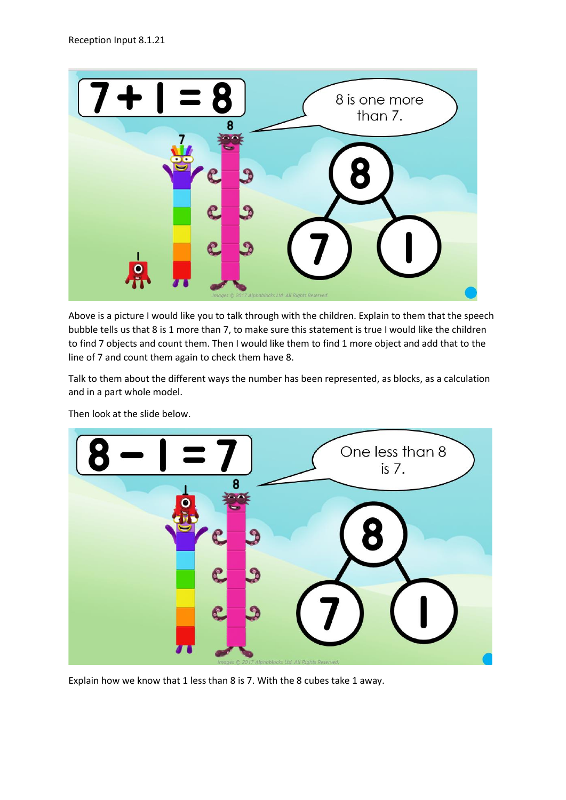

Above is a picture I would like you to talk through with the children. Explain to them that the speech bubble tells us that 8 is 1 more than 7, to make sure this statement is true I would like the children to find 7 objects and count them. Then I would like them to find 1 more object and add that to the line of 7 and count them again to check them have 8.

Talk to them about the different ways the number has been represented, as blocks, as a calculation and in a part whole model.



Then look at the slide below.

Explain how we know that 1 less than 8 is 7. With the 8 cubes take 1 away.